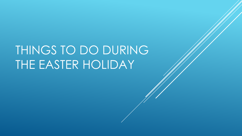# THINGS TO DO DURING THE EASTER HOLIDAY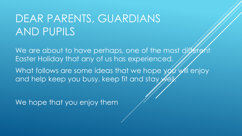## DEAR PARENTS, GUARDIANS AND PUPILS

We are about to have perhaps, one of the most different Easter Holiday that any of us has experienced.

What follows are some ideas that we hope  $\sqrt{\frac{1}{2}}\sqrt{\frac{1}{2}}$  enjoy and help keep you busy, keep fit and stay we

We hope that you enjoy them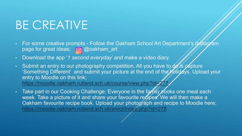## BE CREATIVE

- For some creative prompts Follow the Oakham School Art Department's Instagram page for great ideas; @ @oakham\_art
- Download the app '*1 second everyday*' and make a video diary.
- Submit an entry to our photography competition. All you have to  $\partial \mathscr{B}$  is capture 'Something Different' and submit your picture at the end of the holidays. Upload your entry to Moodle on this link; https://moodle.oakham.rutland.sch.uk/course/view.php?id=27
- Take part in our Cooking Challenge; Everyone in the family cooks one meal each week. Take a picture of it and share your favourite recipes. We will then make a Oakham favourite recipe book. Upload your photograph and recipe to Moodle here; <https://moodle.oakham.rutland.sch.uk/enrol/index.php?id=278>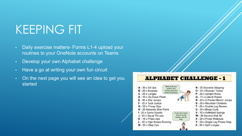## KEEPING FIT

- Daily exercise matters- Forms L1-4 upload your routines to your OneNote accounts on Teams
- Develop your own Alphabet challenge
- Have a go at writing your own fun circuit
- On the next page you will see an idea to get you started

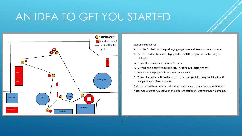## AN IDEA TO GET YOU STARTED



**Station instructions:** 

- 1. kick the football into the goal, trying to get into to different spots each time.
- 2. Bowl the ball at the wicket, trying to hit the little pegs off at the top (or just hitting it).
- 3. Throw the hoops onto the cone in front.
- 4. Use the hula hoop for a full minute. Try using two instead of one!
- Bounce on the pogo stick and do 50 jumps on it. 5.
- 6. Throw the basketball into the hoop. If you don't get it in, carry on doing it until you get it in another two times.

Note: put everything back how it was as quickly as possible once you've finished. Note: make sure to run between the different stations to get your heart pumping.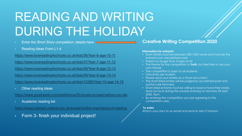# READING AND WRITING DURING THE HOLIDAY

- Enter the Short Story competition; details here  $\Box$
- Reading ideas Form L1-4

<https://www.lovereading4schools.co.uk/lists/36/Year-6-age-10-11>

<https://www.lovereading4schools.co.uk/lists/37/Year-7-age-11-12>

<https://www.lovereading4schools.co.uk/lists/38/Year-8-age-12-13>

<https://www.lovereading4schools.co.uk/lists/39/Year-9-age-13-14>

<https://www.lovereading4schools.co.uk/lists/13385/Year-10-age-14-15>

• Other reading ideas

<https://www.goodreads.com/shelf/show/50-books-to-read-before-you-die>

• Academic reading list

<https://www.oakham.rutland.sch.uk/academic/the-importance-of-reading>

• Form 3- finish your individual project!

### **Creative Writing Competition 2020**

#### **Information for entrants:**

- Short Stories must be between 500-1000 words and must be the entrants own unpublished work.
- Poems no longer than 2 sides of A4
- The theme for the competition is: **Truth**, but feel free to use your own theme.
- The competition is open to all students.
- One entry per student.
- Please send your entries as a Word document.
- The short-listed entries will be judged by acclaimed poet and author Luke Kennard.
- Short-listed entrants must be willing to read or have their stories read out loud during the awards evening on Monday 20 April 2020, 9pm.
- By entering the competition you are agreeing to the competition rules.

### **To enter**:

Attach your story to an email and send to Miss O'Hanlon;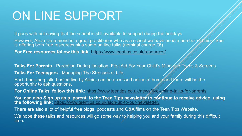## ON LINE SUPPORT

It goes with out saying that the school is still available to support during the holidays.

However, Alicia Drummond is a great practitioner who as a school we have used a number of thes. She is offering both free resources plus some on line talks (nominal charge £6)

**For Free resources follow this link:** <https://www.teentips.co.uk/resources/>

**Talks For Parents** - Parenting During Isolation, First Aid For Your Child's Mind and Techs & Screens.

**Talks For Teenagers** - Managing The Stresses of Life.

Each hour-long talk, hosted live by Alicia, can be accessed online at home and there will be the opportunity to ask questions.

**For Online Talks follow this link:** <https://www.teentips.co.uk/news/live-online-talks-for-parents>

You can also Sign up as a 'parent' to the Teen Tips newslette*f t*o continue to receive advice using **the following link:** <https://www.teentips.co.uk/sign-up-to-our-newsletter/>

There are also a lot of helpful free blogs, podcasts and  $Q&A$  films on the Teen Tips Website.

We hope these talks and resources will go some way to helping you and your family during this difficult time.